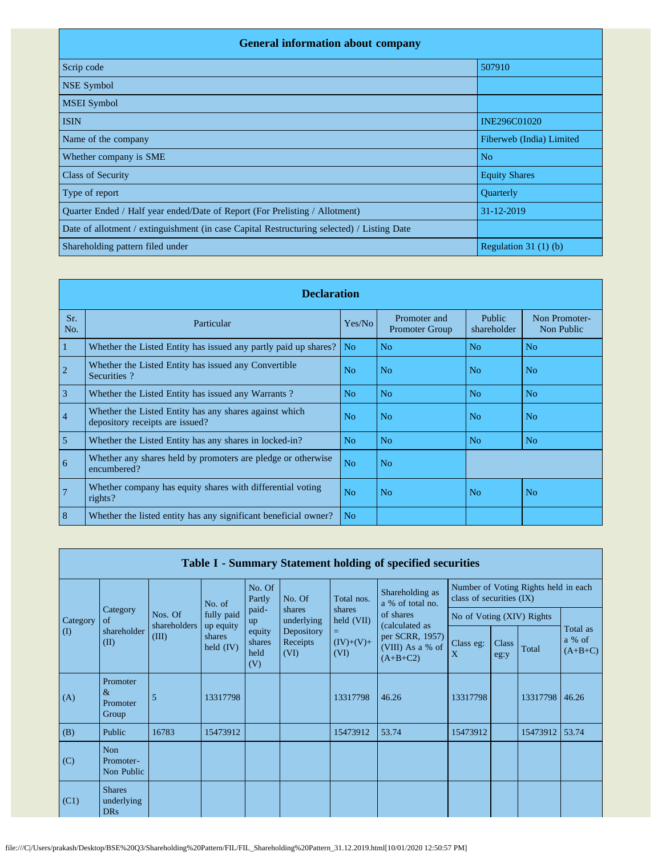| <b>General information about company</b>                                                   |                          |  |  |  |  |  |  |  |
|--------------------------------------------------------------------------------------------|--------------------------|--|--|--|--|--|--|--|
| Scrip code                                                                                 | 507910                   |  |  |  |  |  |  |  |
| <b>NSE Symbol</b>                                                                          |                          |  |  |  |  |  |  |  |
| <b>MSEI Symbol</b>                                                                         |                          |  |  |  |  |  |  |  |
| <b>ISIN</b>                                                                                | <b>INE296C01020</b>      |  |  |  |  |  |  |  |
| Name of the company                                                                        | Fiberweb (India) Limited |  |  |  |  |  |  |  |
| Whether company is SME                                                                     | N <sub>o</sub>           |  |  |  |  |  |  |  |
| <b>Class of Security</b>                                                                   | <b>Equity Shares</b>     |  |  |  |  |  |  |  |
| Type of report                                                                             | Quarterly                |  |  |  |  |  |  |  |
| Quarter Ended / Half year ended/Date of Report (For Prelisting / Allotment)                | 31-12-2019               |  |  |  |  |  |  |  |
| Date of allotment / extinguishment (in case Capital Restructuring selected) / Listing Date |                          |  |  |  |  |  |  |  |
| Shareholding pattern filed under                                                           | Regulation $31(1)(b)$    |  |  |  |  |  |  |  |

|                | <b>Declaration</b>                                                                        |                |                                       |                       |                             |  |  |  |  |  |
|----------------|-------------------------------------------------------------------------------------------|----------------|---------------------------------------|-----------------------|-----------------------------|--|--|--|--|--|
| Sr.<br>No.     | Particular                                                                                | Yes/No         | Promoter and<br><b>Promoter Group</b> | Public<br>shareholder | Non Promoter-<br>Non Public |  |  |  |  |  |
| 1              | Whether the Listed Entity has issued any partly paid up shares?                           | No.            | No                                    | N <sub>o</sub>        | N <sub>o</sub>              |  |  |  |  |  |
| $\overline{2}$ | Whether the Listed Entity has issued any Convertible<br>Securities?                       | N <sub>0</sub> | No.                                   | N <sub>o</sub>        | N <sub>0</sub>              |  |  |  |  |  |
| $\overline{3}$ | Whether the Listed Entity has issued any Warrants?                                        | N <sub>o</sub> | N <sub>o</sub>                        | N <sub>o</sub>        | N <sub>o</sub>              |  |  |  |  |  |
| $\overline{4}$ | Whether the Listed Entity has any shares against which<br>depository receipts are issued? | No             | N <sub>o</sub>                        | N <sub>o</sub>        | No                          |  |  |  |  |  |
| $\overline{5}$ | Whether the Listed Entity has any shares in locked-in?                                    | N <sub>o</sub> | N <sub>o</sub>                        | N <sub>o</sub>        | N <sub>o</sub>              |  |  |  |  |  |
| 6              | Whether any shares held by promoters are pledge or otherwise<br>encumbered?               | N <sub>o</sub> | N <sub>o</sub>                        |                       |                             |  |  |  |  |  |
| $\overline{7}$ | Whether company has equity shares with differential voting<br>rights?                     | N <sub>o</sub> | No                                    | N <sub>o</sub>        | No                          |  |  |  |  |  |
| 8              | Whether the listed entity has any significant beneficial owner?                           | N <sub>o</sub> |                                       |                       |                             |  |  |  |  |  |

|          | Table I - Summary Statement holding of specified securities |                         |                         |                                 |                                |                                                   |                                                                     |          |                                                                  |          |                                 |  |
|----------|-------------------------------------------------------------|-------------------------|-------------------------|---------------------------------|--------------------------------|---------------------------------------------------|---------------------------------------------------------------------|----------|------------------------------------------------------------------|----------|---------------------------------|--|
|          |                                                             |                         | No. of                  | No. Of<br>Partly                | No. Of                         | Shareholding as<br>Total nos.<br>a % of total no. |                                                                     |          | Number of Voting Rights held in each<br>class of securities (IX) |          |                                 |  |
| Category | Category<br>of                                              | Nos. Of<br>shareholders | fully paid<br>up equity | paid-<br>up                     | shares<br>underlying           | shares<br>held (VII)                              | of shares                                                           |          | No of Voting (XIV) Rights                                        |          |                                 |  |
| $\rm(D)$ | shareholder<br>(II)                                         | (III)                   | shares<br>held $(IV)$   | equity<br>shares<br>held<br>(V) | Depository<br>Receipts<br>(VI) | $=$<br>$(IV)+(V)+$<br>(VI)                        | (calculated as<br>per SCRR, 1957)<br>(VIII) As a % of<br>$(A+B+C2)$ |          | Class<br>eg:y                                                    | Total    | Total as<br>a % of<br>$(A+B+C)$ |  |
| (A)      | Promoter<br>$\&$<br>Promoter<br>Group                       | 5                       | 13317798                |                                 |                                | 13317798                                          | 46.26                                                               | 13317798 |                                                                  | 13317798 | 46.26                           |  |
| (B)      | Public                                                      | 16783                   | 15473912                |                                 |                                | 15473912                                          | 53.74                                                               | 15473912 |                                                                  | 15473912 | 53.74                           |  |
| (C)      | Non<br>Promoter-<br>Non Public                              |                         |                         |                                 |                                |                                                   |                                                                     |          |                                                                  |          |                                 |  |
| (C1)     | <b>Shares</b><br>underlying<br><b>DRs</b>                   |                         |                         |                                 |                                |                                                   |                                                                     |          |                                                                  |          |                                 |  |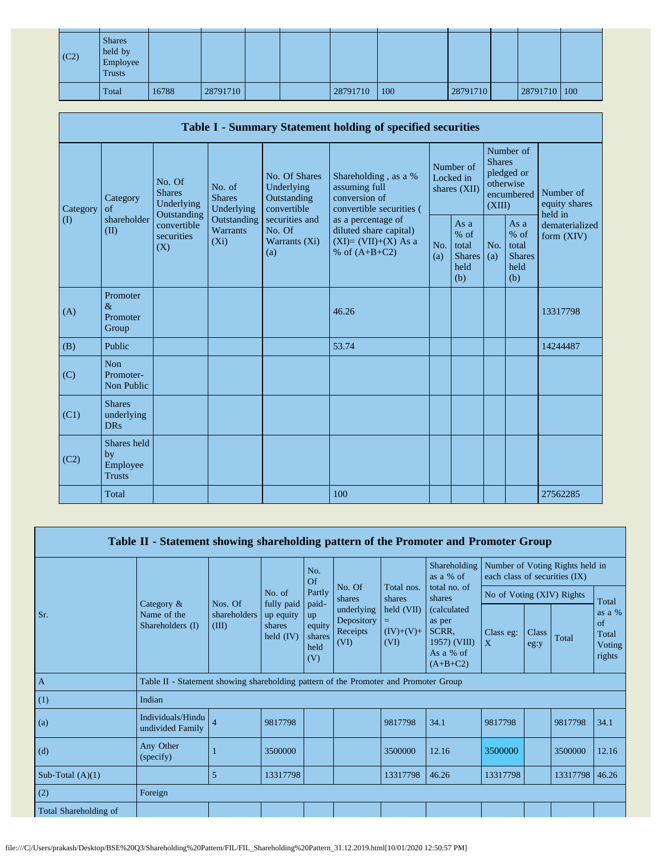| $\vert$ (C2) | <b>Shares</b><br>held by<br>Employee<br><b>Trusts</b> |       |          |  |          |     |          |              |  |
|--------------|-------------------------------------------------------|-------|----------|--|----------|-----|----------|--------------|--|
|              | Total                                                 | 16788 | 28791710 |  | 28791710 | 100 | 28791710 | 28791710 100 |  |

|          | Table I - Summary Statement holding of specified securities |                                                                                 |                                           |                                                           |                                                                                          |            |                                                           |                         |                                                         |                                       |  |
|----------|-------------------------------------------------------------|---------------------------------------------------------------------------------|-------------------------------------------|-----------------------------------------------------------|------------------------------------------------------------------------------------------|------------|-----------------------------------------------------------|-------------------------|---------------------------------------------------------|---------------------------------------|--|
| Category | Category<br>of                                              | No. Of<br>No. of<br><b>Shares</b><br><b>Shares</b><br>Underlying<br>Outstanding | Underlying                                | No. Of Shares<br>Underlying<br>Outstanding<br>convertible | Shareholding, as a %<br>assuming full<br>conversion of<br>convertible securities (       |            | Number of<br>Locked in<br>shares (XII)                    | <b>Shares</b><br>(XIII) | Number of<br>pledged or<br>otherwise<br>encumbered      | Number of<br>equity shares<br>held in |  |
| $\rm(D)$ | shareholder<br>(II)                                         | convertible<br>securities<br>(X)                                                | Outstanding<br><b>Warrants</b><br>$(X_i)$ | securities and<br>No. Of<br>Warrants (Xi)<br>(a)          | as a percentage of<br>diluted share capital)<br>$(XI)=(VII)+(X)$ As a<br>% of $(A+B+C2)$ | No.<br>(a) | As $a$<br>$%$ of<br>total<br><b>Shares</b><br>held<br>(b) | No.<br>(a)              | As a<br>$%$ of<br>total<br><b>Shares</b><br>held<br>(b) | dematerialized<br>form $(XIV)$        |  |
| (A)      | Promoter<br>$\&$<br>Promoter<br>Group                       |                                                                                 |                                           |                                                           | 46.26                                                                                    |            |                                                           |                         |                                                         | 13317798                              |  |
| (B)      | Public                                                      |                                                                                 |                                           |                                                           | 53.74                                                                                    |            |                                                           |                         |                                                         | 14244487                              |  |
| (C)      | <b>Non</b><br>Promoter-<br>Non Public                       |                                                                                 |                                           |                                                           |                                                                                          |            |                                                           |                         |                                                         |                                       |  |
| (C1)     | <b>Shares</b><br>underlying<br><b>DRs</b>                   |                                                                                 |                                           |                                                           |                                                                                          |            |                                                           |                         |                                                         |                                       |  |
| (C2)     | Shares held<br>by<br>Employee<br><b>Trusts</b>              |                                                                                 |                                           |                                                           |                                                                                          |            |                                                           |                         |                                                         |                                       |  |
|          | Total                                                       |                                                                                 |                                           |                                                           | 100                                                                                      |            |                                                           |                         |                                                         | 27562285                              |  |

|                       | Table II - Statement showing shareholding pattern of the Promoter and Promoter Group |                       |                                                  |                                                |                                              |                                            |                                                                                   |                                                                  |                           |          |                                                      |  |
|-----------------------|--------------------------------------------------------------------------------------|-----------------------|--------------------------------------------------|------------------------------------------------|----------------------------------------------|--------------------------------------------|-----------------------------------------------------------------------------------|------------------------------------------------------------------|---------------------------|----------|------------------------------------------------------|--|
|                       |                                                                                      |                       |                                                  | No.<br>Of                                      | No. Of                                       |                                            | Shareholding<br>as a % of<br>total no. of                                         | Number of Voting Rights held in<br>each class of securities (IX) |                           |          |                                                      |  |
|                       |                                                                                      | Nos. Of               | No. of                                           | Partly                                         | shares                                       | shares                                     | Total nos.                                                                        | shares                                                           | No of Voting (XIV) Rights |          |                                                      |  |
| Sr.                   | Category &<br>Name of the<br>Shareholders (I)                                        | shareholders<br>(III) | fully paid<br>up equity<br>shares<br>held $(IV)$ | paid-<br>up<br>equity<br>shares<br>held<br>(V) | underlying<br>Depository<br>Receipts<br>(VI) | $\text{held (VII)}$<br>$(IV)+(V)+$<br>(VI) | <i>(calculated)</i><br>as per<br>SCRR,<br>1957) (VIII)<br>As a % of<br>$(A+B+C2)$ | Class eg:<br>$\mathbf{X}$                                        | Class<br>eg:y             | Total    | Total<br>as a $%$<br>of<br>Total<br>Voting<br>rights |  |
| $\mathbf{A}$          | Table II - Statement showing shareholding pattern of the Promoter and Promoter Group |                       |                                                  |                                                |                                              |                                            |                                                                                   |                                                                  |                           |          |                                                      |  |
| (1)                   | Indian                                                                               |                       |                                                  |                                                |                                              |                                            |                                                                                   |                                                                  |                           |          |                                                      |  |
| (a)                   | Individuals/Hindu<br>undivided Family                                                | $\overline{4}$        | 9817798                                          |                                                |                                              | 9817798                                    | 34.1                                                                              | 9817798                                                          |                           | 9817798  | 34.1                                                 |  |
| (d)                   | Any Other<br>(specify)                                                               |                       | 3500000                                          |                                                |                                              | 3500000                                    | 12.16                                                                             | 3500000                                                          |                           | 3500000  | 12.16                                                |  |
| Sub-Total $(A)(1)$    |                                                                                      | $\overline{5}$        | 13317798                                         |                                                |                                              | 13317798                                   | 46.26                                                                             | 13317798                                                         |                           | 13317798 | 46.26                                                |  |
| (2)                   | Foreign                                                                              |                       |                                                  |                                                |                                              |                                            |                                                                                   |                                                                  |                           |          |                                                      |  |
| Total Shareholding of |                                                                                      |                       |                                                  |                                                |                                              |                                            |                                                                                   |                                                                  |                           |          |                                                      |  |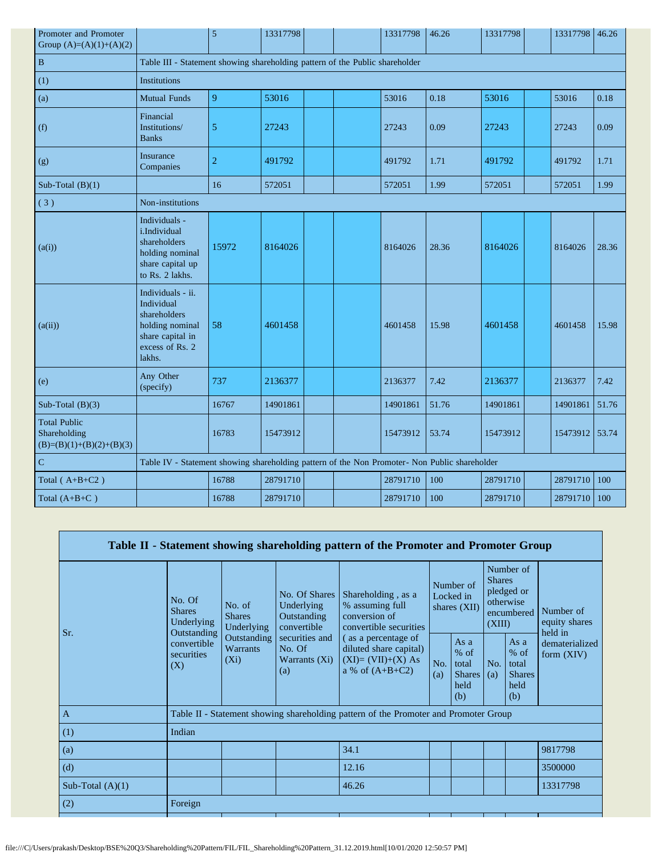| Promoter and Promoter<br>Group $(A)=(A)(1)+(A)(2)$                |                                                                                                                     | 5              | 13317798 |  | 13317798 | 46.26 | 13317798 | 13317798 | 46.26 |
|-------------------------------------------------------------------|---------------------------------------------------------------------------------------------------------------------|----------------|----------|--|----------|-------|----------|----------|-------|
| $\, {\bf B}$                                                      | Table III - Statement showing shareholding pattern of the Public shareholder                                        |                |          |  |          |       |          |          |       |
| (1)                                                               | <b>Institutions</b>                                                                                                 |                |          |  |          |       |          |          |       |
| (a)                                                               | <b>Mutual Funds</b>                                                                                                 | 9              | 53016    |  | 53016    | 0.18  | 53016    | 53016    | 0.18  |
| (f)                                                               | Financial<br>Institutions/<br><b>Banks</b>                                                                          | 5              | 27243    |  | 27243    | 0.09  | 27243    | 27243    | 0.09  |
| (g)                                                               | Insurance<br>Companies                                                                                              | $\overline{c}$ | 491792   |  | 491792   | 1.71  | 491792   | 491792   | 1.71  |
| Sub-Total $(B)(1)$                                                |                                                                                                                     | 16             | 572051   |  | 572051   | 1.99  | 572051   | 572051   | 1.99  |
| (3)                                                               | Non-institutions                                                                                                    |                |          |  |          |       |          |          |       |
| (a(i))                                                            | Individuals -<br>i.Individual<br>shareholders<br>holding nominal<br>share capital up<br>to Rs. 2 lakhs.             | 15972          | 8164026  |  | 8164026  | 28.36 | 8164026  | 8164026  | 28.36 |
| (a(ii))                                                           | Individuals - ii.<br>Individual<br>shareholders<br>holding nominal<br>share capital in<br>excess of Rs. 2<br>lakhs. | 58             | 4601458  |  | 4601458  | 15.98 | 4601458  | 4601458  | 15.98 |
| (e)                                                               | Any Other<br>(specify)                                                                                              | 737            | 2136377  |  | 2136377  | 7.42  | 2136377  | 2136377  | 7.42  |
| Sub-Total $(B)(3)$                                                |                                                                                                                     | 16767          | 14901861 |  | 14901861 | 51.76 | 14901861 | 14901861 | 51.76 |
| <b>Total Public</b><br>Shareholding<br>$(B)=(B)(1)+(B)(2)+(B)(3)$ |                                                                                                                     | 16783          | 15473912 |  | 15473912 | 53.74 | 15473912 | 15473912 | 53.74 |
| $\mathbf C$                                                       | Table IV - Statement showing shareholding pattern of the Non Promoter- Non Public shareholder                       |                |          |  |          |       |          |          |       |
| Total $(A+B+C2)$                                                  |                                                                                                                     | 16788          | 28791710 |  | 28791710 | 100   | 28791710 | 28791710 | 100   |
| Total $(A+B+C)$                                                   |                                                                                                                     | 16788          | 28791710 |  | 28791710 | 100   | 28791710 | 28791710 | 100   |

|                    |                                                      |                                       |                                                           | Table II - Statement showing shareholding pattern of the Promoter and Promoter Group      |                                        |                                                         |                                                                               |                                                         |                                       |  |
|--------------------|------------------------------------------------------|---------------------------------------|-----------------------------------------------------------|-------------------------------------------------------------------------------------------|----------------------------------------|---------------------------------------------------------|-------------------------------------------------------------------------------|---------------------------------------------------------|---------------------------------------|--|
| Sr.                | No. Of<br><b>Shares</b><br>Underlying<br>Outstanding | No. of<br><b>Shares</b><br>Underlying | No. Of Shares<br>Underlying<br>Outstanding<br>convertible | Shareholding, as a<br>% assuming full<br>conversion of<br>convertible securities          | Number of<br>Locked in<br>shares (XII) |                                                         | Number of<br><b>Shares</b><br>pledged or<br>otherwise<br>encumbered<br>(XIII) |                                                         | Number of<br>equity shares<br>held in |  |
|                    | convertible<br>securities<br>(X)                     | Outstanding<br>Warrants<br>$(X_i)$    | securities and<br>No. Of<br>Warrants $(X_i)$<br>(a)       | (as a percentage of<br>diluted share capital)<br>$(XI)=(VII)+(X) As$<br>a % of $(A+B+C2)$ | No.<br>(a)                             | As a<br>$%$ of<br>total<br><b>Shares</b><br>held<br>(b) | No.<br>(a)                                                                    | As a<br>$%$ of<br>total<br><b>Shares</b><br>held<br>(b) | dematerialized<br>form $(XIV)$        |  |
| $\mathbf{A}$       |                                                      |                                       |                                                           | Table II - Statement showing shareholding pattern of the Promoter and Promoter Group      |                                        |                                                         |                                                                               |                                                         |                                       |  |
| (1)                | Indian                                               |                                       |                                                           |                                                                                           |                                        |                                                         |                                                                               |                                                         |                                       |  |
| (a)                |                                                      |                                       |                                                           | 34.1                                                                                      |                                        |                                                         |                                                                               |                                                         | 9817798                               |  |
| (d)                |                                                      |                                       |                                                           | 12.16                                                                                     |                                        |                                                         |                                                                               |                                                         | 3500000                               |  |
| Sub-Total $(A)(1)$ |                                                      |                                       |                                                           | 46.26                                                                                     |                                        |                                                         |                                                                               |                                                         | 13317798                              |  |
| (2)                | Foreign                                              |                                       |                                                           |                                                                                           |                                        |                                                         |                                                                               |                                                         |                                       |  |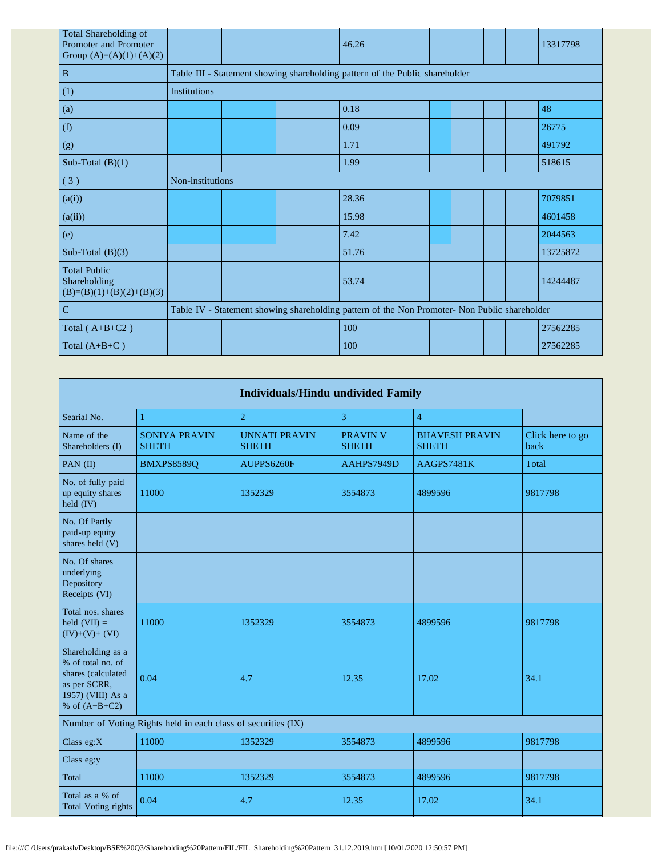| <b>Total Shareholding of</b><br><b>Promoter and Promoter</b><br>Group $(A)=(A)(1)+(A)(2)$ |                  |  | 46.26                                                                                         |  |  | 13317798 |
|-------------------------------------------------------------------------------------------|------------------|--|-----------------------------------------------------------------------------------------------|--|--|----------|
| $\, {\bf B}$                                                                              |                  |  | Table III - Statement showing shareholding pattern of the Public shareholder                  |  |  |          |
| (1)                                                                                       | Institutions     |  |                                                                                               |  |  |          |
| (a)                                                                                       |                  |  | 0.18                                                                                          |  |  | 48       |
| (f)                                                                                       |                  |  | 0.09                                                                                          |  |  | 26775    |
| (g)                                                                                       |                  |  | 1.71                                                                                          |  |  | 491792   |
| Sub-Total $(B)(1)$                                                                        |                  |  | 1.99                                                                                          |  |  | 518615   |
| (3)                                                                                       | Non-institutions |  |                                                                                               |  |  |          |
| (a(i))                                                                                    |                  |  | 28.36                                                                                         |  |  | 7079851  |
| (a(ii))                                                                                   |                  |  | 15.98                                                                                         |  |  | 4601458  |
| (e)                                                                                       |                  |  | 7.42                                                                                          |  |  | 2044563  |
| Sub-Total $(B)(3)$                                                                        |                  |  | 51.76                                                                                         |  |  | 13725872 |
| <b>Total Public</b><br>Shareholding<br>$(B)=(B)(1)+(B)(2)+(B)(3)$                         |                  |  | 53.74                                                                                         |  |  | 14244487 |
| $\mathbf C$                                                                               |                  |  | Table IV - Statement showing shareholding pattern of the Non Promoter- Non Public shareholder |  |  |          |
| Total $(A+B+C2)$                                                                          |                  |  | 100                                                                                           |  |  | 27562285 |
| Total $(A+B+C)$                                                                           |                  |  | 100                                                                                           |  |  | 27562285 |

| <b>Individuals/Hindu undivided Family</b>                                                                            |                                                               |                                      |                                 |                                       |                          |  |  |  |  |
|----------------------------------------------------------------------------------------------------------------------|---------------------------------------------------------------|--------------------------------------|---------------------------------|---------------------------------------|--------------------------|--|--|--|--|
| Searial No.                                                                                                          | $\mathbf{1}$                                                  | $\overline{2}$                       | 3                               | $\overline{4}$                        |                          |  |  |  |  |
| Name of the<br>Shareholders (I)                                                                                      | <b>SONIYA PRAVIN</b><br><b>SHETH</b>                          | <b>UNNATI PRAVIN</b><br><b>SHETH</b> | <b>PRAVIN V</b><br><b>SHETH</b> | <b>BHAVESH PRAVIN</b><br><b>SHETH</b> | Click here to go<br>back |  |  |  |  |
| PAN (II)                                                                                                             | BMXPS8589Q                                                    | AUPPS6260F                           | AAHPS7949D                      | AAGPS7481K                            | Total                    |  |  |  |  |
| No. of fully paid<br>up equity shares<br>held (IV)                                                                   | 11000                                                         | 1352329                              | 3554873                         | 4899596                               | 9817798                  |  |  |  |  |
| No. Of Partly<br>paid-up equity<br>shares held (V)                                                                   |                                                               |                                      |                                 |                                       |                          |  |  |  |  |
| No. Of shares<br>underlying<br>Depository<br>Receipts (VI)                                                           |                                                               |                                      |                                 |                                       |                          |  |  |  |  |
| Total nos, shares<br>held $(VII) =$<br>$(IV)+(V)+(VI)$                                                               | 11000                                                         | 1352329                              | 3554873                         | 4899596                               | 9817798                  |  |  |  |  |
| Shareholding as a<br>% of total no. of<br>shares (calculated<br>as per SCRR,<br>1957) (VIII) As a<br>% of $(A+B+C2)$ | 0.04                                                          | 4.7                                  | 12.35                           | 17.02                                 | 34.1                     |  |  |  |  |
|                                                                                                                      | Number of Voting Rights held in each class of securities (IX) |                                      |                                 |                                       |                          |  |  |  |  |
| Class $eg:X$                                                                                                         | 11000                                                         | 1352329                              | 3554873                         | 4899596                               | 9817798                  |  |  |  |  |
| Class eg:y                                                                                                           |                                                               |                                      |                                 |                                       |                          |  |  |  |  |
| Total                                                                                                                | 11000                                                         | 1352329                              | 3554873                         | 4899596                               | 9817798                  |  |  |  |  |
| Total as a % of<br><b>Total Voting rights</b>                                                                        | 0.04                                                          | 4.7                                  | 12.35                           | 17.02                                 | 34.1                     |  |  |  |  |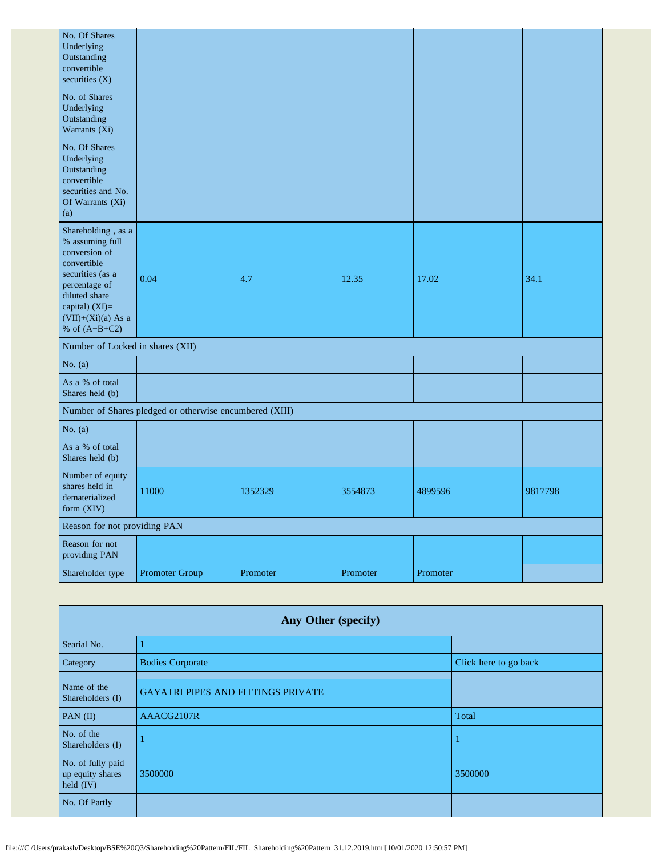| No. Of Shares<br>Underlying<br>Outstanding<br>convertible<br>securities (X)                                                                                                              |                                                         |          |          |          |         |
|------------------------------------------------------------------------------------------------------------------------------------------------------------------------------------------|---------------------------------------------------------|----------|----------|----------|---------|
| No. of Shares<br>Underlying<br>Outstanding<br>Warrants (Xi)                                                                                                                              |                                                         |          |          |          |         |
| No. Of Shares<br>Underlying<br>Outstanding<br>convertible<br>securities and No.<br>Of Warrants (Xi)<br>(a)                                                                               |                                                         |          |          |          |         |
| Shareholding, as a<br>% assuming full<br>conversion of<br>convertible<br>securities (as a<br>percentage of<br>diluted share<br>capital) (XI)=<br>$(VII)+(Xi)(a)$ As a<br>% of $(A+B+C2)$ | 0.04                                                    | 4.7      | 12.35    | 17.02    | 34.1    |
| Number of Locked in shares (XII)                                                                                                                                                         |                                                         |          |          |          |         |
| No. $(a)$                                                                                                                                                                                |                                                         |          |          |          |         |
| As a % of total<br>Shares held (b)                                                                                                                                                       |                                                         |          |          |          |         |
|                                                                                                                                                                                          | Number of Shares pledged or otherwise encumbered (XIII) |          |          |          |         |
| No. $(a)$                                                                                                                                                                                |                                                         |          |          |          |         |
| As a % of total<br>Shares held (b)                                                                                                                                                       |                                                         |          |          |          |         |
| Number of equity<br>shares held in<br>dematerialized<br>form (XIV)                                                                                                                       | 11000                                                   | 1352329  | 3554873  | 4899596  | 9817798 |
| Reason for not providing PAN                                                                                                                                                             |                                                         |          |          |          |         |
| Reason for not<br>providing PAN                                                                                                                                                          |                                                         |          |          |          |         |
| Shareholder type                                                                                                                                                                         | <b>Promoter Group</b>                                   | Promoter | Promoter | Promoter |         |

| Any Other (specify)                                  |                                           |                       |  |  |  |  |  |  |
|------------------------------------------------------|-------------------------------------------|-----------------------|--|--|--|--|--|--|
| Searial No.                                          |                                           |                       |  |  |  |  |  |  |
| Category                                             | <b>Bodies Corporate</b>                   | Click here to go back |  |  |  |  |  |  |
| Name of the<br>Shareholders (I)                      | <b>GAYATRI PIPES AND FITTINGS PRIVATE</b> |                       |  |  |  |  |  |  |
| PAN $(II)$                                           | AAACG2107R                                | Total                 |  |  |  |  |  |  |
| No. of the<br>Shareholders (I)                       |                                           |                       |  |  |  |  |  |  |
| No. of fully paid<br>up equity shares<br>held $(IV)$ | 3500000                                   | 3500000               |  |  |  |  |  |  |
| No. Of Partly                                        |                                           |                       |  |  |  |  |  |  |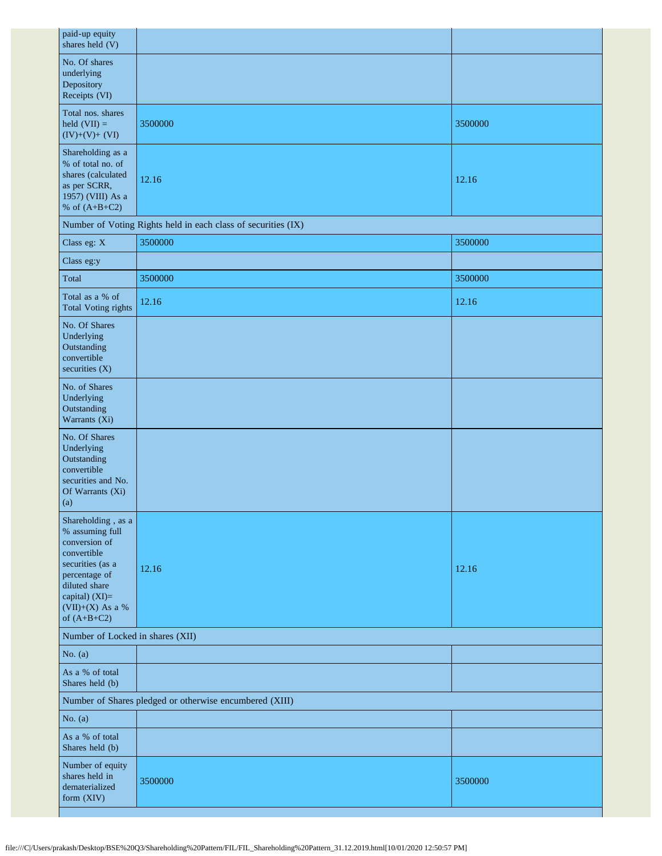| 3500000                                                       | 3500000 |
|---------------------------------------------------------------|---------|
| 12.16                                                         | 12.16   |
| Number of Voting Rights held in each class of securities (IX) |         |
| 3500000                                                       | 3500000 |
|                                                               |         |
| 3500000                                                       | 3500000 |
| 12.16                                                         | 12.16   |
|                                                               |         |
|                                                               |         |
|                                                               |         |
| 12.16                                                         | 12.16   |
| Number of Locked in shares (XII)                              |         |
|                                                               |         |
|                                                               |         |
| Number of Shares pledged or otherwise encumbered (XIII)       |         |
|                                                               |         |
|                                                               |         |
| 3500000                                                       | 3500000 |
|                                                               |         |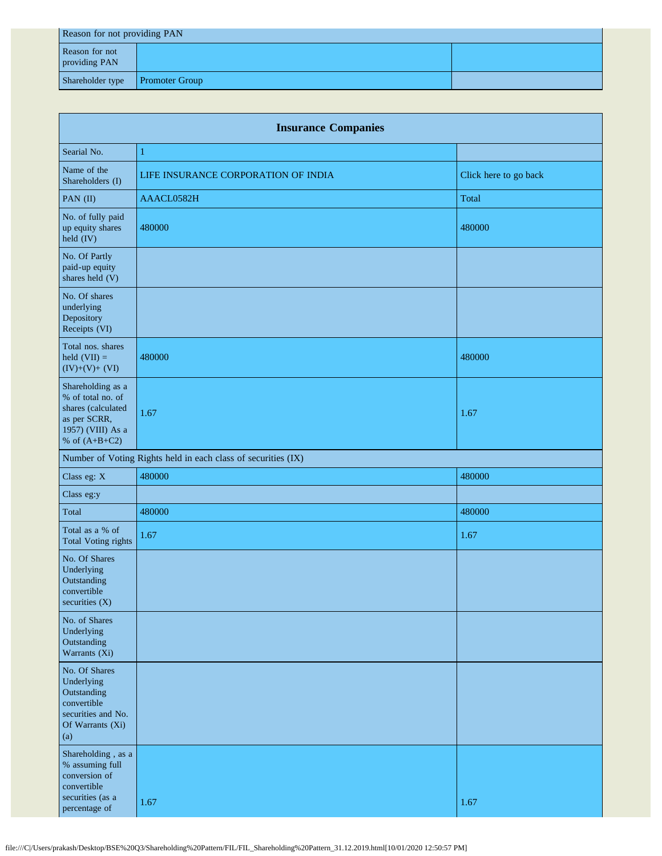| Reason for not providing PAN    |                       |  |  |  |  |
|---------------------------------|-----------------------|--|--|--|--|
| Reason for not<br>providing PAN |                       |  |  |  |  |
| Shareholder type                | <b>Promoter Group</b> |  |  |  |  |

| <b>Insurance Companies</b>                                                                                           |                                                               |                       |  |  |  |  |  |
|----------------------------------------------------------------------------------------------------------------------|---------------------------------------------------------------|-----------------------|--|--|--|--|--|
| Searial No.                                                                                                          | $\mathbf{1}$                                                  |                       |  |  |  |  |  |
| Name of the<br>Shareholders (I)                                                                                      | LIFE INSURANCE CORPORATION OF INDIA                           | Click here to go back |  |  |  |  |  |
| PAN (II)                                                                                                             | AAACL0582H                                                    | Total                 |  |  |  |  |  |
| No. of fully paid<br>up equity shares<br>held (IV)                                                                   | 480000                                                        | 480000                |  |  |  |  |  |
| No. Of Partly<br>paid-up equity<br>shares held (V)                                                                   |                                                               |                       |  |  |  |  |  |
| No. Of shares<br>underlying<br>Depository<br>Receipts (VI)                                                           |                                                               |                       |  |  |  |  |  |
| Total nos. shares<br>held $(VII) =$<br>$(IV)+(V)+(VI)$                                                               | 480000                                                        | 480000                |  |  |  |  |  |
| Shareholding as a<br>% of total no. of<br>shares (calculated<br>as per SCRR,<br>1957) (VIII) As a<br>% of $(A+B+C2)$ | 1.67                                                          | 1.67                  |  |  |  |  |  |
|                                                                                                                      | Number of Voting Rights held in each class of securities (IX) |                       |  |  |  |  |  |
| Class eg: X                                                                                                          | 480000                                                        | 480000                |  |  |  |  |  |
| Class eg:y                                                                                                           |                                                               |                       |  |  |  |  |  |
| Total                                                                                                                | 480000                                                        | 480000                |  |  |  |  |  |
| Total as a % of<br><b>Total Voting rights</b>                                                                        | 1.67                                                          | 1.67                  |  |  |  |  |  |
| No. Of Shares<br>Underlying<br>Outstanding<br>convertible<br>securities $(X)$                                        |                                                               |                       |  |  |  |  |  |
| No. of Shares<br>Underlying<br>Outstanding<br>Warrants (Xi)                                                          |                                                               |                       |  |  |  |  |  |
| No. Of Shares<br>Underlying<br>Outstanding<br>convertible<br>securities and No.<br>Of Warrants (Xi)<br>(a)           |                                                               |                       |  |  |  |  |  |
| Shareholding, as a<br>% assuming full<br>conversion of<br>convertible<br>securities (as a<br>percentage of           | 1.67                                                          | 1.67                  |  |  |  |  |  |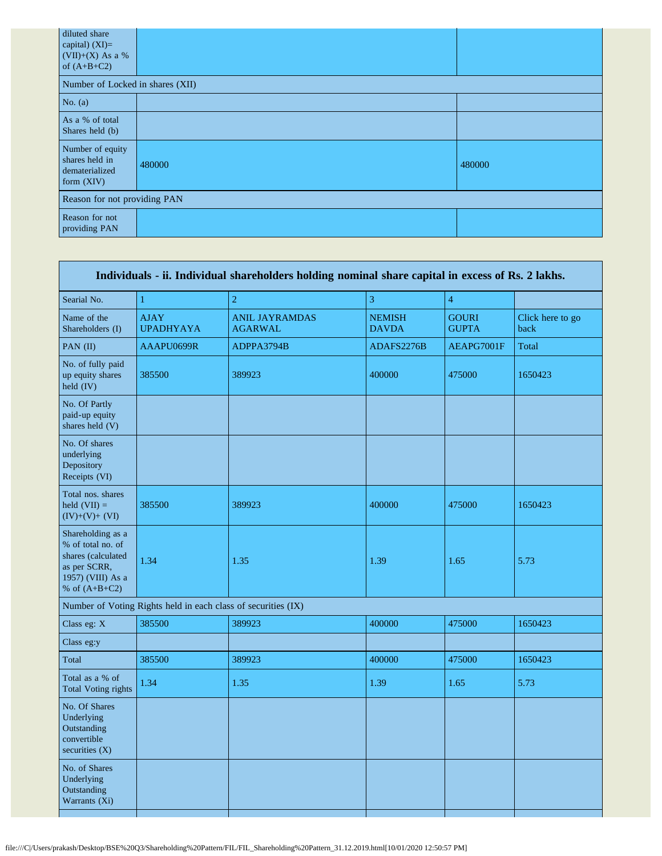| diluted share<br>capital) $(XI)=$<br>(VII)+(X) As a %<br>of $(A+B+C2)$ |        |        |  |  |  |  |
|------------------------------------------------------------------------|--------|--------|--|--|--|--|
| Number of Locked in shares (XII)                                       |        |        |  |  |  |  |
| No. $(a)$                                                              |        |        |  |  |  |  |
| As a % of total<br>Shares held (b)                                     |        |        |  |  |  |  |
| Number of equity<br>shares held in<br>dematerialized<br>form (XIV)     | 480000 | 480000 |  |  |  |  |
| Reason for not providing PAN                                           |        |        |  |  |  |  |
| Reason for not<br>providing PAN                                        |        |        |  |  |  |  |

| Individuals - ii. Individual shareholders holding nominal share capital in excess of Rs. 2 lakhs.                    |                                 |                                                               |                               |                              |                          |
|----------------------------------------------------------------------------------------------------------------------|---------------------------------|---------------------------------------------------------------|-------------------------------|------------------------------|--------------------------|
| Searial No.                                                                                                          | $\mathbf{1}$                    | $\overline{2}$                                                | 3                             | $\overline{4}$               |                          |
| Name of the<br>Shareholders (I)                                                                                      | <b>AJAY</b><br><b>UPADHYAYA</b> | <b>ANIL JAYRAMDAS</b><br><b>AGARWAL</b>                       | <b>NEMISH</b><br><b>DAVDA</b> | <b>GOURI</b><br><b>GUPTA</b> | Click here to go<br>back |
| PAN (II)                                                                                                             | AAAPU0699R                      | ADPPA3794B                                                    | ADAFS2276B                    | AEAPG7001F                   | Total                    |
| No. of fully paid<br>up equity shares<br>held (IV)                                                                   | 385500                          | 389923                                                        | 400000                        | 475000                       | 1650423                  |
| No. Of Partly<br>paid-up equity<br>shares held (V)                                                                   |                                 |                                                               |                               |                              |                          |
| No. Of shares<br>underlying<br>Depository<br>Receipts (VI)                                                           |                                 |                                                               |                               |                              |                          |
| Total nos. shares<br>held $(VII) =$<br>$(IV)+(V)+(VI)$                                                               | 385500                          | 389923                                                        | 400000                        | 475000                       | 1650423                  |
| Shareholding as a<br>% of total no. of<br>shares (calculated<br>as per SCRR,<br>1957) (VIII) As a<br>% of $(A+B+C2)$ | 1.34                            | 1.35                                                          | 1.39                          | 1.65                         | 5.73                     |
|                                                                                                                      |                                 | Number of Voting Rights held in each class of securities (IX) |                               |                              |                          |
| Class eg: X                                                                                                          | 385500                          | 389923                                                        | 400000                        | 475000                       | 1650423                  |
| Class eg:y                                                                                                           |                                 |                                                               |                               |                              |                          |
| Total                                                                                                                | 385500                          | 389923                                                        | 400000                        | 475000                       | 1650423                  |
| Total as a % of<br><b>Total Voting rights</b>                                                                        | 1.34                            | 1.35                                                          | 1.39                          | 1.65                         | 5.73                     |
| No. Of Shares<br>Underlying<br>Outstanding<br>convertible<br>securities $(X)$                                        |                                 |                                                               |                               |                              |                          |
| No. of Shares<br>Underlying<br>Outstanding<br>Warrants (Xi)                                                          |                                 |                                                               |                               |                              |                          |
|                                                                                                                      |                                 |                                                               |                               |                              |                          |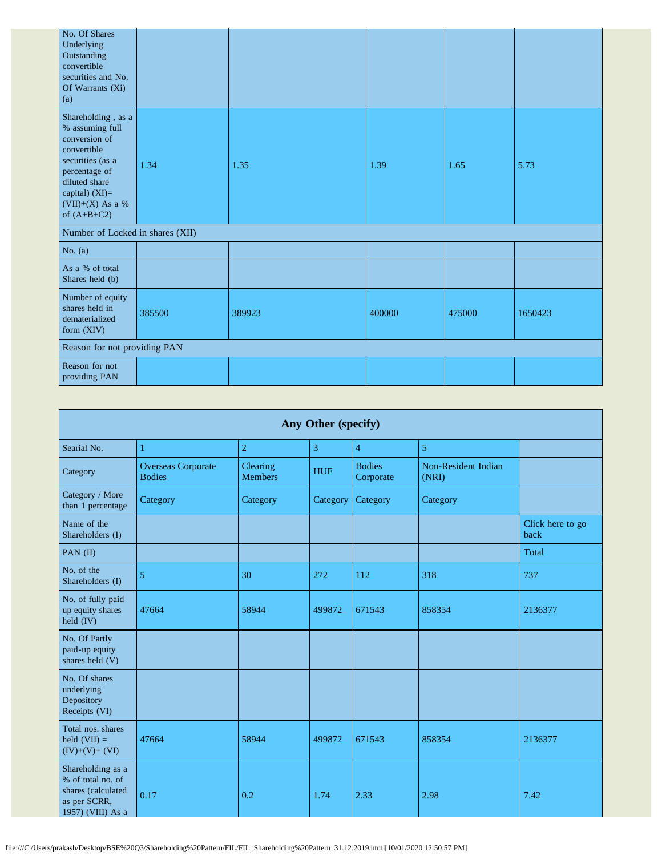| No. Of Shares<br>Underlying<br>Outstanding<br>convertible<br>securities and No.<br>Of Warrants (Xi)<br>(a)                                                                           |        |        |        |        |         |  |
|--------------------------------------------------------------------------------------------------------------------------------------------------------------------------------------|--------|--------|--------|--------|---------|--|
| Shareholding, as a<br>% assuming full<br>conversion of<br>convertible<br>securities (as a<br>percentage of<br>diluted share<br>capital) (XI)=<br>$(VII)+(X)$ As a %<br>of $(A+B+C2)$ | 1.34   | 1.35   | 1.39   | 1.65   | 5.73    |  |
| Number of Locked in shares (XII)                                                                                                                                                     |        |        |        |        |         |  |
| No. $(a)$                                                                                                                                                                            |        |        |        |        |         |  |
| As a % of total<br>Shares held (b)                                                                                                                                                   |        |        |        |        |         |  |
| Number of equity<br>shares held in<br>dematerialized<br>form $(XIV)$                                                                                                                 | 385500 | 389923 | 400000 | 475000 | 1650423 |  |
| Reason for not providing PAN                                                                                                                                                         |        |        |        |        |         |  |
| Reason for not<br>providing PAN                                                                                                                                                      |        |        |        |        |         |  |

| Any Other (specify)                                                                               |                                            |                                   |            |                            |                              |                          |
|---------------------------------------------------------------------------------------------------|--------------------------------------------|-----------------------------------|------------|----------------------------|------------------------------|--------------------------|
| Searial No.                                                                                       | 1                                          | $\overline{2}$                    | 3          | $\overline{4}$             | 5                            |                          |
| Category                                                                                          | <b>Overseas Corporate</b><br><b>Bodies</b> | <b>Clearing</b><br><b>Members</b> | <b>HUF</b> | <b>Bodies</b><br>Corporate | Non-Resident Indian<br>(NRI) |                          |
| Category / More<br>than 1 percentage                                                              | Category                                   | Category                          | Category   | Category                   | Category                     |                          |
| Name of the<br>Shareholders (I)                                                                   |                                            |                                   |            |                            |                              | Click here to go<br>back |
| PAN (II)                                                                                          |                                            |                                   |            |                            |                              | Total                    |
| No. of the<br>Shareholders (I)                                                                    | 5                                          | 30                                | 272        | 112                        | 318                          | 737                      |
| No. of fully paid<br>up equity shares<br>$held$ $(IV)$                                            | 47664                                      | 58944                             | 499872     | 671543                     | 858354                       | 2136377                  |
| No. Of Partly<br>paid-up equity<br>shares held (V)                                                |                                            |                                   |            |                            |                              |                          |
| No. Of shares<br>underlying<br>Depository<br>Receipts (VI)                                        |                                            |                                   |            |                            |                              |                          |
| Total nos. shares<br>held $(VII) =$<br>$(IV)+(V)+(VI)$                                            | 47664                                      | 58944                             | 499872     | 671543                     | 858354                       | 2136377                  |
| Shareholding as a<br>% of total no. of<br>shares (calculated<br>as per SCRR,<br>1957) (VIII) As a | 0.17                                       | 0.2                               | 1.74       | 2.33                       | 2.98                         | 7.42                     |